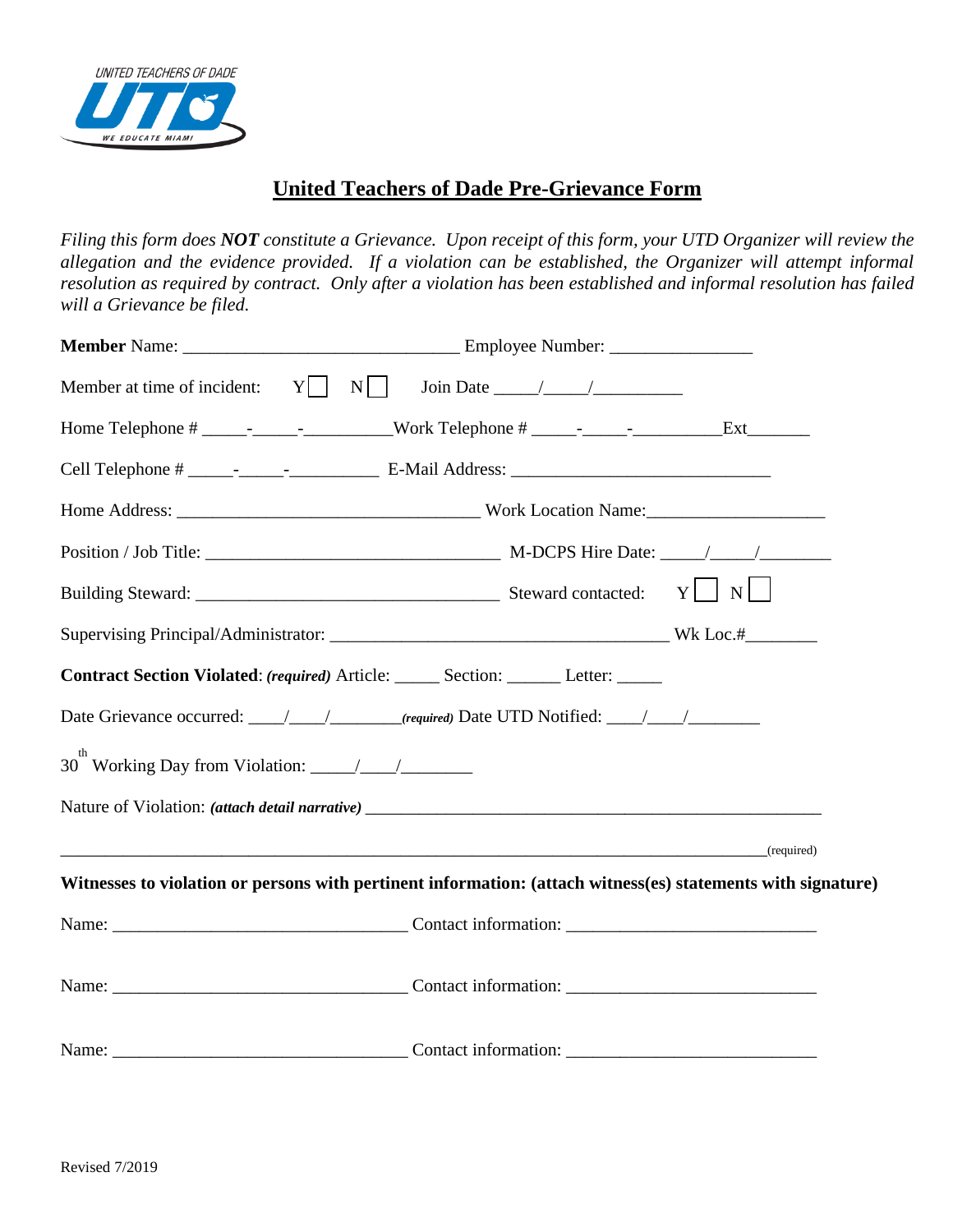

## **United Teachers of Dade Pre-Grievance Form**

*Filing this form does NOT constitute a Grievance. Upon receipt of this form, your UTD Organizer will review the allegation and the evidence provided. If a violation can be established, the Organizer will attempt informal resolution as required by contract. Only after a violation has been established and informal resolution has failed will a Grievance be filed.*

| Contract Section Violated: (required) Article: _____ Section: _____ Letter: _____                            |            |  |
|--------------------------------------------------------------------------------------------------------------|------------|--|
| Date Grievance occurred: \___/ \___/ (required) Date UTD Notified: \___/ \___/ \_______                      |            |  |
|                                                                                                              |            |  |
| Nature of Violation: <i>(attach detail narrative)</i>                                                        |            |  |
|                                                                                                              | (required) |  |
| Witnesses to violation or persons with pertinent information: (attach witness(es) statements with signature) |            |  |
|                                                                                                              |            |  |
|                                                                                                              |            |  |
|                                                                                                              |            |  |